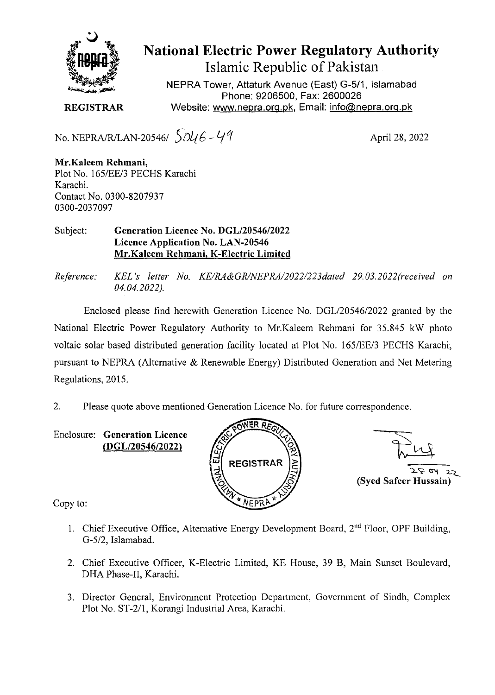

**National Electric Power Regulatory Authority Islamic Republic of Pakistan** 

NEPRA Tower, Attaturk Avenue (East) G-511, Islamabad Phone: 9206500, Fax: 2600026 **REGISTRAR** Website: www.nepra.org.pk, Email: info@nepra.org.pk

No. NEPRA/R/LAN-20546/  $\sqrt{046} - 49$  April 28, 2022

**Mr.Kaleem Rehinani,**  Plot No. 165/EE/3 PECHS Karachi Karachi. Contact No. 0300-8207937 03 00-2037097

Subject: **Generation Licence No. DGL/20546/2022 Licence Application No. LAN-20546 Mr.Kalecm Rehmani, K-Electric Limited** 

Reference: *KEL's letter No. KE/RA&GR/NEPRA/2022/223dated 29.03.2022 (received on 04.04.2022).* 

Enclosed please find herewith Generation Licence No. DGL/20546/2022 granted by the National Electric Power Regulatory Authority to Mr.Kaleem Rehrnani for *35.845* kW photo voltaic solar based distributed generation facility located at Plot No. 165/EE/3 PECHS Karachi, pursuant to NEPRA (Alternative & Renewable Energy) Distributed Generation and Net Metering Regulations, 2015.

2. Please quote above mentioned Generation Licence No. for future correspondence.

**Enclosure: Generation Licence (DGL/20546/2022)** 



**1**<br>2 E oy 2<br>(Syed Safeer Hussain)

Copy to:

- 1. Chief Executive Office, Alternative Energy Development Board,  $2<sup>nd</sup>$  Floor, OPF Building, G-5/2, Islamabad.
- 2. Chief Executive Officer, K-Electric Limited, KE House, 39 B, Main Simset Boulevard, DHA Phase-II, Karachi.
- 3. Director General, Environment Protection Department, Government of Sindh, Complex Plot No. ST-2/1, Korangi Industrial Area, Karachi.